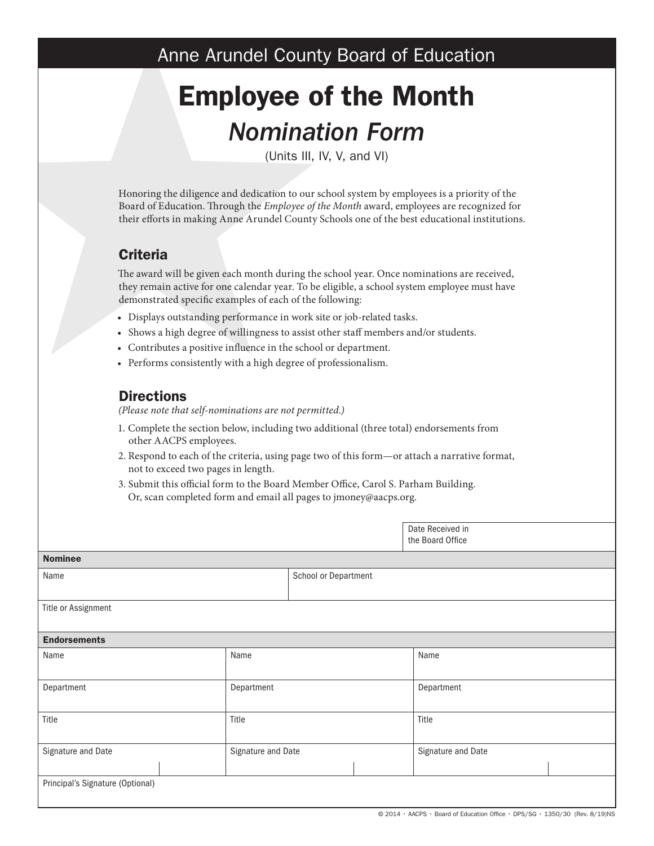## Anne Arundel County Board of Education

# Employee of the Month *Nomination Form*

(Units III, IV, V, and VI)

Honoring the diligence and dedication to our school system by employees is a priority of the Board of Education. Through the *Employee of the Month* award, employees are recognized for their efforts in making Anne Arundel County Schools one of the best educational institutions.

### **Criteria**

The award will be given each month during the school year. Once nominations are received, they remain active for one calendar year. To be eligible, a school system employee must have demonstrated specific examples of each of the following:

- Displays outstanding performance in work site or job-related tasks.
- Shows a high degree of willingness to assist other staff members and/or students.
- Contributes a positive influence in the school or department.
- Performs consistently with a high degree of professionalism.

#### **Directions**

*(Please note that self-nominations are not permitted.)*

- 1. Complete the section below, including two additional (three total) endorsements from other AACPS employees.
- 2. Respond to each of the criteria, using page two of this form—or attach a narrative format, not to exceed two pages in length.
- 3. Submit this official form to the Board Member Office, Carol S. Parham Building. Or, scan completed form and email all pages to jmoney@aacps.org.

|                                  |                    |                      | Date Received in<br>the Board Office |                    |  |
|----------------------------------|--------------------|----------------------|--------------------------------------|--------------------|--|
| <b>Nominee</b>                   |                    |                      |                                      |                    |  |
| Name                             |                    | School or Department |                                      |                    |  |
|                                  |                    |                      |                                      |                    |  |
| Title or Assignment              |                    |                      |                                      |                    |  |
| <b>Endorsements</b>              |                    |                      |                                      |                    |  |
| Name                             | Name               |                      |                                      | Name               |  |
| Department                       | Department         |                      |                                      | Department         |  |
| Title                            | Title              |                      |                                      | Title              |  |
| Signature and Date               | Signature and Date |                      |                                      | Signature and Date |  |
| Principal's Signature (Optional) |                    |                      |                                      |                    |  |